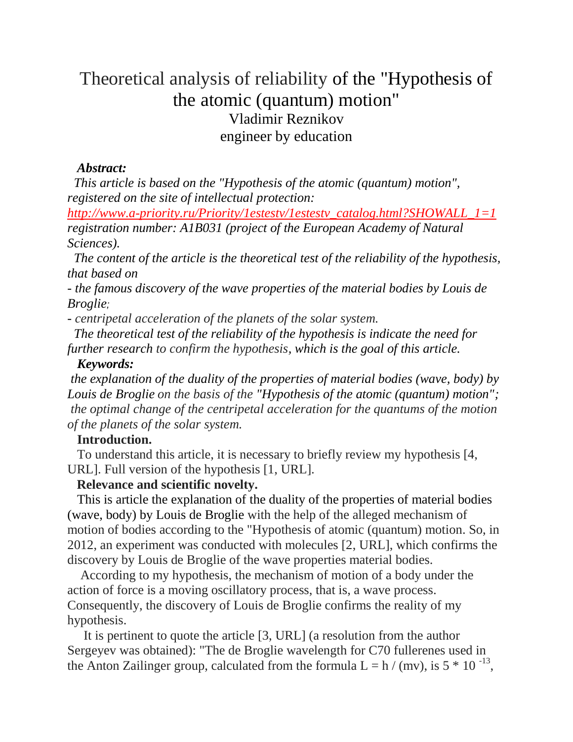# Theoretical analysis of reliability of the "Hypothesis of the atomic (quantum) motion" Vladimir Reznikov engineer by education

#### *Abstract:*

 *This article is based on the "Hypothesis of the atomic (quantum) motion", registered on the site of intellectual protection:*

*[http://www.a-priority.ru/Priority/1estestv/1estestv\\_catalog.html?SHOWALL\\_1=1](http://www.a-priority.ru/Priority/1estestv/1estestv_catalog.html?SHOWALL_1=1) registration number: A1B031 (project of the European Academy of Natural Sciences).*

 *The content of the article is the theoretical test of the reliability of the hypothesis, that based on*

*- the famous discovery of the wave properties of the material bodies by Louis de Broglie;*

*- centripetal acceleration of the planets of the solar system.*

*The theoretical test of the reliability of the hypothesis is indicate the need for further research to confirm the hypothesis, which is the goal of this article.* 

#### *Keywords:*

*the explanation of the duality of the properties of material bodies (wave, body) by Louis de Broglie on the basis of the "Hypothesis of the atomic (quantum) motion"; the optimal change of the centripetal acceleration for the quantums of the motion of the planets of the solar system.* 

# **Introduction.**

 To understand this article, it is necessary to briefly review my hypothesis [4, URL]. Full version of the hypothesis [1, URL].

# **Relevance and scientific novelty.**

 This is article the explanation of the duality of the properties of material bodies (wave, body) by Louis de Broglie with the help of the alleged mechanism of motion of bodies according to the "Hypothesis of atomic (quantum) motion. So, in 2012, an experiment was conducted with molecules [2, URL], which confirms the discovery by Louis de Broglie of the wave properties material bodies.

 According to my hypothesis, the mechanism of motion of a body under the action of force is a moving oscillatory process, that is, a wave process. Consequently, the discovery of Louis de Broglie confirms the reality of my hypothesis.

 It is pertinent to quote the article [3, URL] (a resolution from the author Sergeyev was obtained): "The de Broglie wavelength for C70 fullerenes used in the Anton Zailinger group, calculated from the formula  $L = h / (mv)$ , is  $5 * 10^{-13}$ ,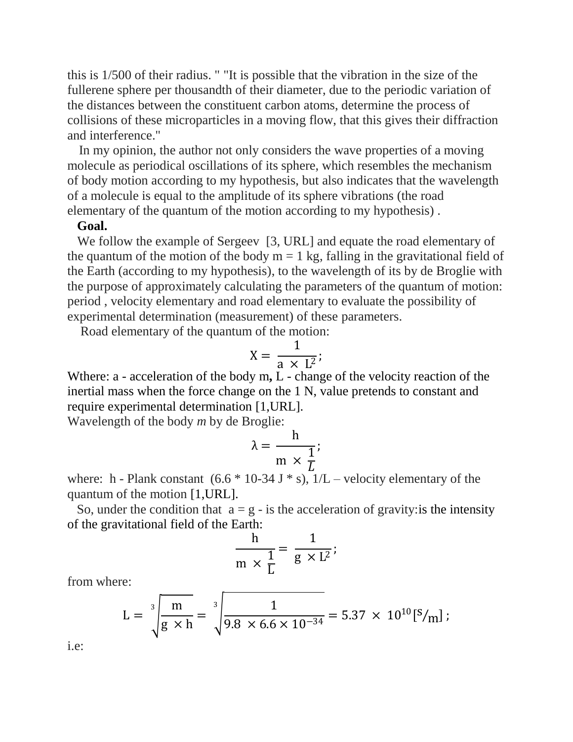this is 1/500 of their radius. " "It is possible that the vibration in the size of the fullerene sphere per thousandth of their diameter, due to the periodic variation of the distances between the constituent carbon atoms, determine the process of collisions of these microparticles in a moving flow, that this gives their diffraction and interference."

 In my opinion, the author not only considers the wave properties of a moving molecule as periodical oscillations of its sphere, which resembles the mechanism of body motion according to my hypothesis, but also indicates that the wavelength of a molecule is equal to the amplitude of its sphere vibrations (the road elementary of the quantum of the motion according to my hypothesis) .

#### **Goal.**

We follow the example of Sergeev [3, URL] and equate the road elementary of the quantum of the motion of the body  $m = 1$  kg, falling in the gravitational field of the Earth (according to my hypothesis), to the wavelength of its by de Broglie with the purpose of approximately calculating the parameters of the quantum of motion: period , velocity elementary and road elementary to evaluate the possibility of experimental determination (measurement) of these parameters.

Road elementary of the quantum of the motion:

$$
X = \frac{1}{a \times L^2};
$$

Wthere: a - acceleration of the body m**,** L - change of the velocity reaction of the inertial mass when the force change on the 1 N, value pretends to constant and require experimental determination [1,URL].

Wavelength of the body *m* by de Broglie:

$$
\lambda = \frac{h}{m \times \frac{1}{L}};
$$

where: h - Plank constant  $(6.6 * 10-34 J * s)$ ,  $1/L$  – velocity elementary of the quantum of the motion [1,URL].

So, under the condition that  $a = g - is$  the acceleration of gravity: is the intensity of the gravitational field of the Earth:

$$
\frac{h}{m \times \frac{1}{L}} = \frac{1}{g \times L^2};
$$

from where:

$$
L = \sqrt[3]{\frac{m}{g \times h}} = \sqrt[3]{\frac{1}{9.8 \times 6.6 \times 10^{-34}}} = 5.37 \times 10^{10} [S/m];
$$

i.e: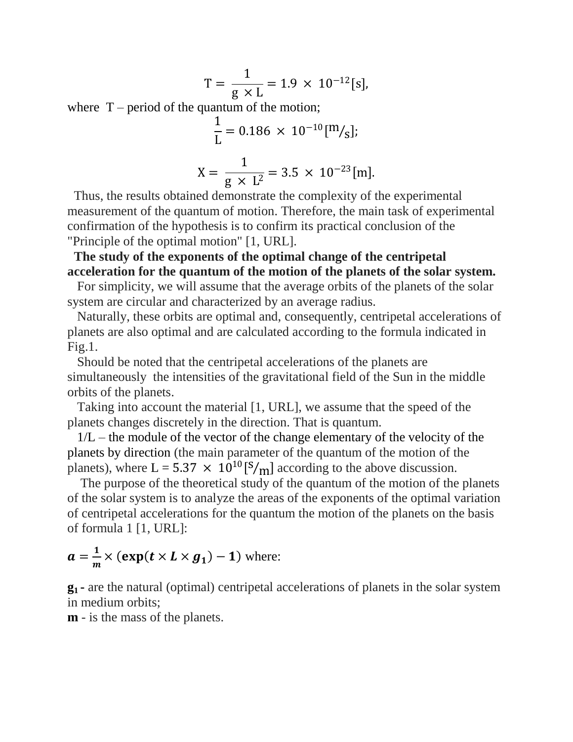$$
T = \frac{1}{g \times L} = 1.9 \times 10^{-12} [s],
$$

where  $T$  – period of the quantum of the motion;

$$
\frac{1}{L} = 0.186 \times 10^{-10} [m/g];
$$
  

$$
X = \frac{1}{g \times L^2} = 3.5 \times 10^{-23} [m].
$$

 Thus, the results obtained demonstrate the complexity of the experimental measurement of the quantum of motion. Therefore, the main task of experimental confirmation of the hypothesis is to confirm its practical conclusion of the "Principle of the optimal motion" [1, URL].

 **The study of the exponents of the optimal change of the centripetal acceleration for the quantum of the motion of the planets of the solar system.**

 For simplicity, we will assume that the average orbits of the planets of the solar system are circular and characterized by an average radius.

 Naturally, these orbits are optimal and, consequently, centripetal accelerations of planets are also optimal and are calculated according to the formula indicated in Fig.1.

 Should be noted that the centripetal accelerations of the planets are simultaneously the intensities of the gravitational field of the Sun in the middle orbits of the planets.

 Taking into account the material [1, URL], we assume that the speed of the planets changes discretely in the direction. That is quantum.

 $1/L$  – the module of the vector of the change elementary of the velocity of the planets by direction (the main parameter of the quantum of the motion of the planets), where  $L = 5.37 \times 10^{10} [S/m]$  according to the above discussion.

 The purpose of the theoretical study of the quantum of the motion of the planets of the solar system is to analyze the areas of the exponents of the optimal variation of centripetal accelerations for the quantum the motion of the planets on the basis of formula 1 [1, URL]:

$$
a = \frac{1}{m} \times (\exp(t \times L \times g_1) - 1)
$$
 where:

**g<sup>1</sup> -** are the natural (optimal) centripetal accelerations of planets in the solar system in medium orbits;

**m** - is the mass of the planets.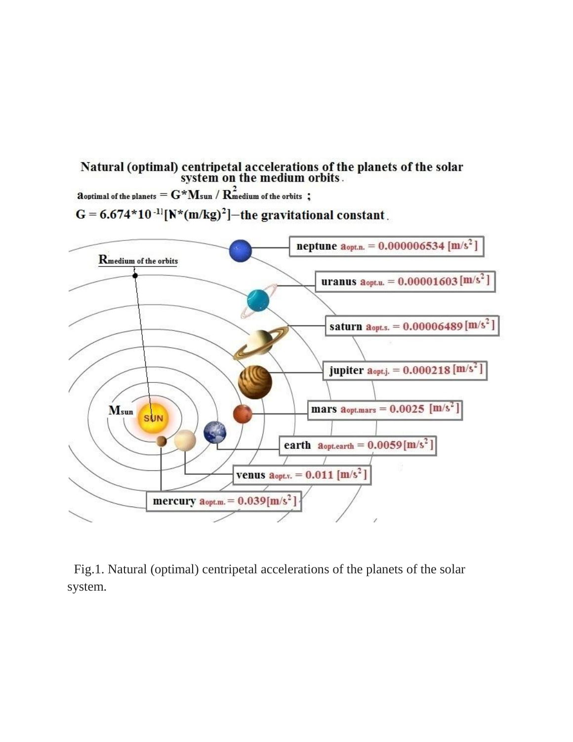Natural (optimal) centripetal accelerations of the planets of the solar<br>system on the medium orbits.

 $\mathbf a$  optimal of the planets  $= \mathbf G^* \mathbf M$ sun /  $\mathbf R_{\mathbf m}^2$ edium of the orbits ;

 $G = 6.674*10^{-11}[N*(m/kg)^2]$  – the gravitational constant.



 Fig.1. Natural (optimal) centripetal accelerations of the planets of the solar system.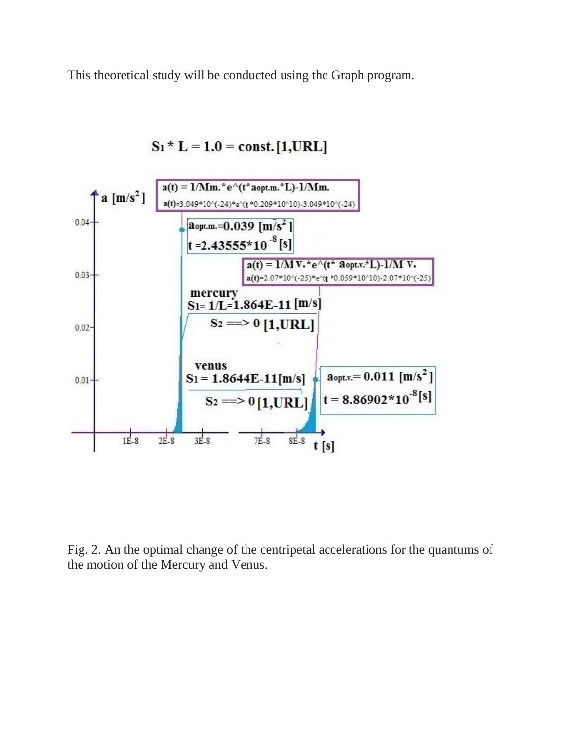This theoretical study will be conducted using the Graph program.



 $S_1 * L = 1.0 = const.$  [1, URL]

Fig. 2. An the optimal change of the centripetal accelerations for the quantums of the motion of the Mercury and Venus.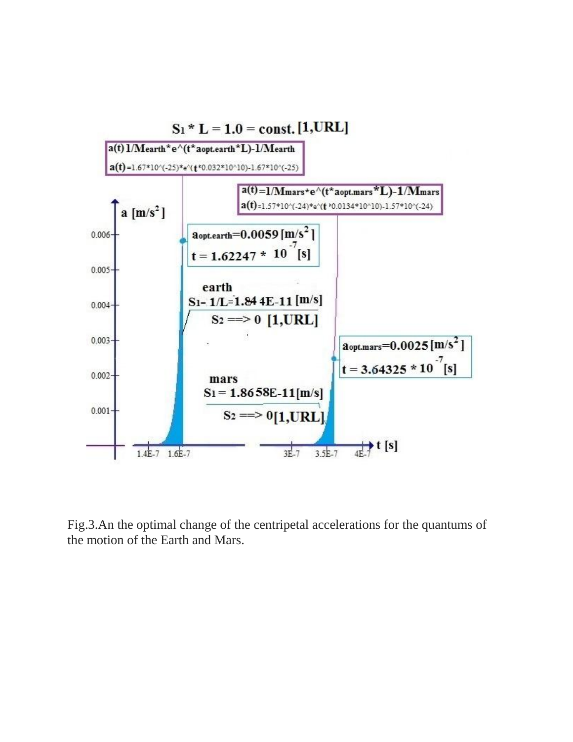

Fig.3.An the optimal change of the centripetal accelerations for the quantums of the motion of the Earth and Mars.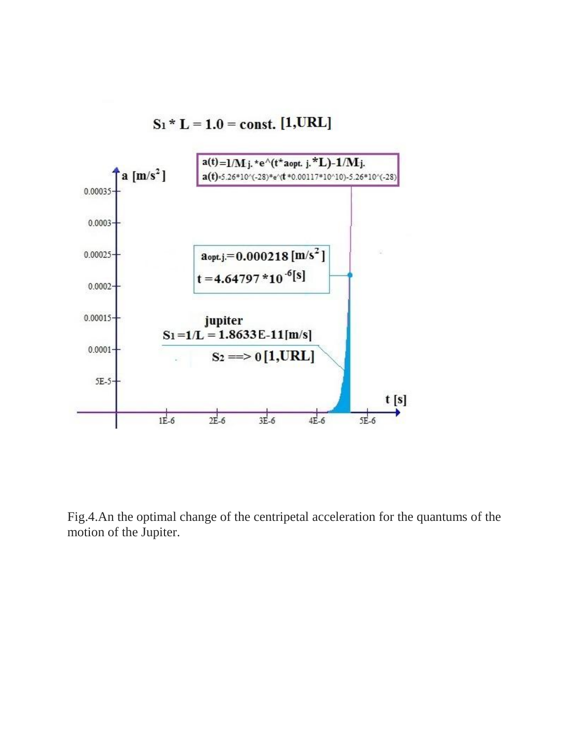



Fig.4.An the optimal change of the centripetal acceleration for the quantums of the motion of the Jupiter.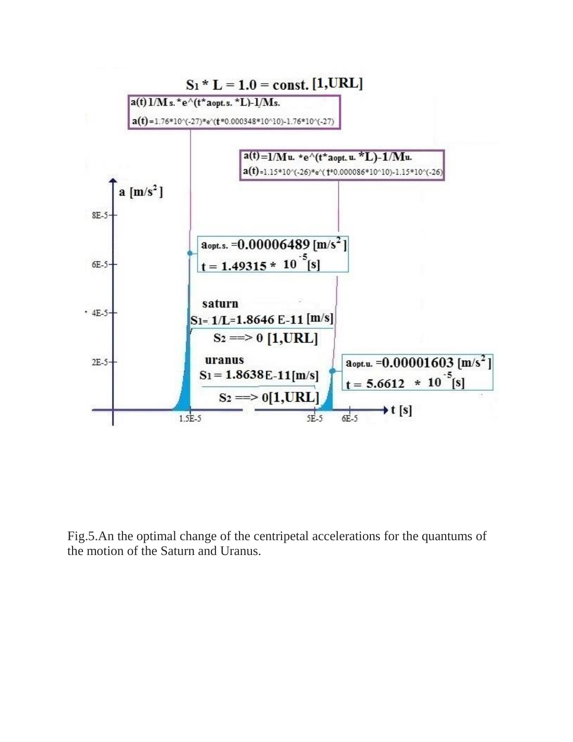

Fig.5.An the optimal change of the centripetal accelerations for the quantums of the motion of the Saturn and Uranus.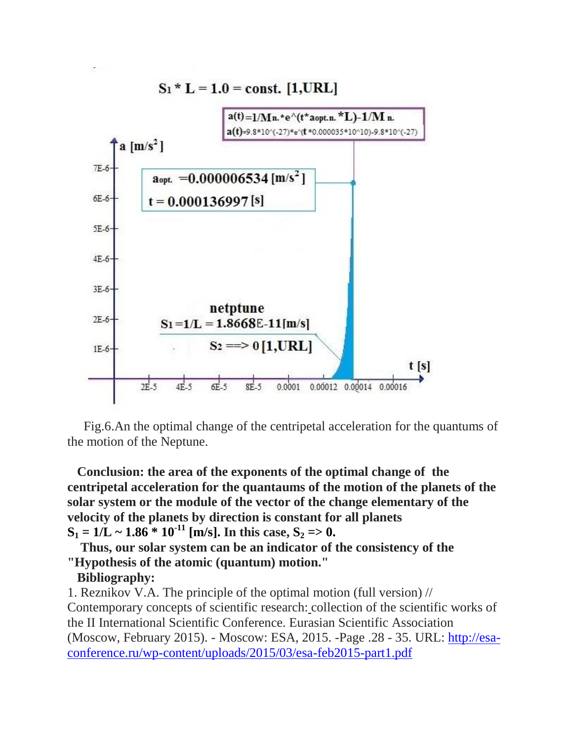

 Fig.6.An the optimal change of the centripetal acceleration for the quantums of the motion of the Neptune.

 **Conclusion: the area of the exponents of the optimal change of the centripetal acceleration for the quantaums of the motion of the planets of the solar system or the module of the vector of the change elementary of the velocity of the planets by direction is constant for all planets**  $S_1 = 1/L \sim 1.86 * 10^{-11}$  [m/s]. In this case,  $S_2 = 0$ .

 **Thus, our solar system can be an indicator of the consistency of the "Hypothesis of the atomic (quantum) motion."**

# **Bibliography:**

1. Reznikov V.A. The principle of the optimal motion (full version) // Contemporary concepts of scientific research: collection of the scientific works of the II International Scientific Conference. Eurasian Scientific Association (Moscow, February 2015). - Moscow: ESA, 2015. -Page .28 - 35. URL: [http://esa](http://esa-conference.ru/wp-content/uploads/2015/03/esa-feb2015-part1.pdf)[conference.ru/wp-content/uploads/2015/03/esa-feb2015-part1.pdf](http://esa-conference.ru/wp-content/uploads/2015/03/esa-feb2015-part1.pdf)